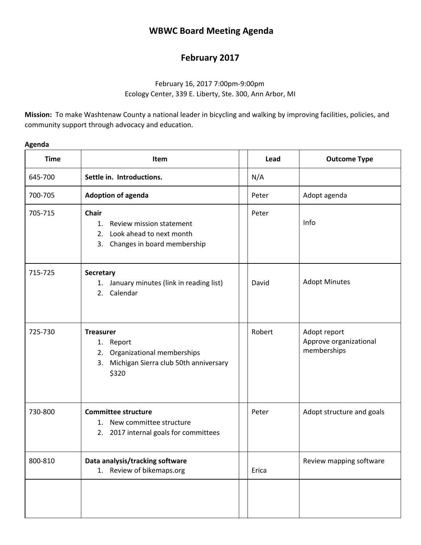# **WBWC Board Meeting Agenda**

# **February 2017**

# February 16, 2017 7:00pm-9:00pm Ecology Center, 339 E. Liberty, Ste. 300, Ann Arbor, MI

**Mission:** To make Washtenaw County a national leader in bicycling and walking by improving facilities, policies, and community support through advocacy and education.

| <b>Time</b> | Item                                                                                                                        | Lead   | <b>Outcome Type</b>                                   |
|-------------|-----------------------------------------------------------------------------------------------------------------------------|--------|-------------------------------------------------------|
| 645-700     | Settle in. Introductions.                                                                                                   | N/A    |                                                       |
| 700-705     | <b>Adoption of agenda</b>                                                                                                   | Peter  | Adopt agenda                                          |
| 705-715     | <b>Chair</b><br>$1_{\cdot}$<br>Review mission statement<br>2. Look ahead to next month<br>Changes in board membership<br>3. | Peter  | Info                                                  |
| 715-725     | Secretary<br>1. January minutes (link in reading list)<br>2. Calendar                                                       | David  | <b>Adopt Minutes</b>                                  |
| 725-730     | <b>Treasurer</b><br>1.<br>Report<br>2. Organizational memberships<br>3. Michigan Sierra club 50th anniversary<br>\$320      | Robert | Adopt report<br>Approve organizational<br>memberships |
| 730-800     | <b>Committee structure</b><br>1. New committee structure<br>2. 2017 internal goals for committees                           | Peter  | Adopt structure and goals                             |
| 800-810     | Data analysis/tracking software<br>1. Review of bikemaps.org                                                                | Erica  | Review mapping software                               |

## **Agenda**